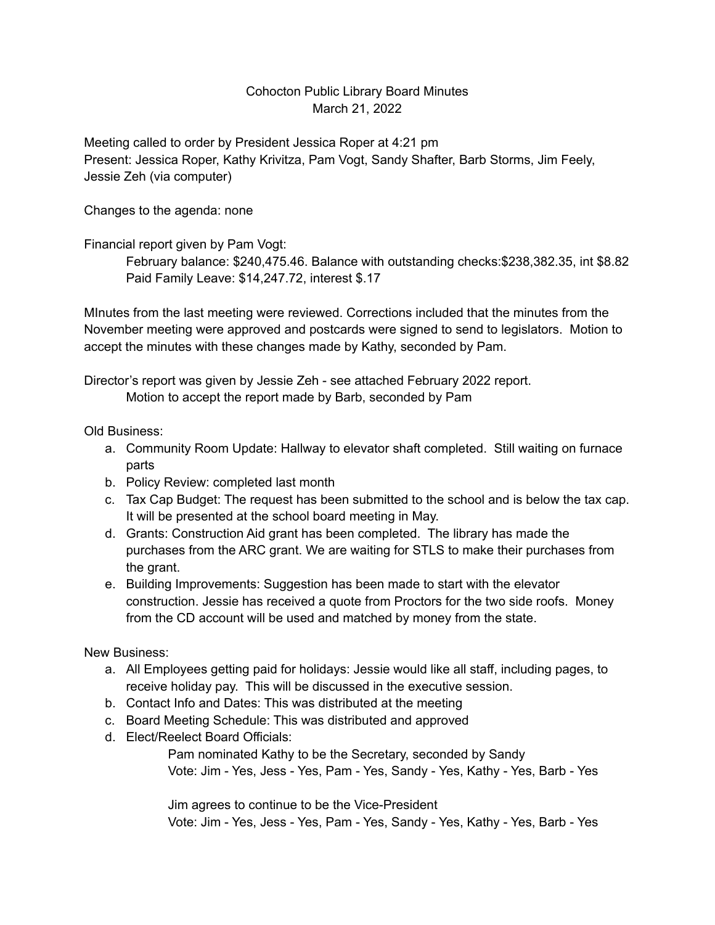## Cohocton Public Library Board Minutes March 21, 2022

Meeting called to order by President Jessica Roper at 4:21 pm Present: Jessica Roper, Kathy Krivitza, Pam Vogt, Sandy Shafter, Barb Storms, Jim Feely, Jessie Zeh (via computer)

Changes to the agenda: none

Financial report given by Pam Vogt:

February balance: \$240,475.46. Balance with outstanding checks:\$238,382.35, int \$8.82 Paid Family Leave: \$14,247.72, interest \$.17

MInutes from the last meeting were reviewed. Corrections included that the minutes from the November meeting were approved and postcards were signed to send to legislators. Motion to accept the minutes with these changes made by Kathy, seconded by Pam.

Director's report was given by Jessie Zeh - see attached February 2022 report. Motion to accept the report made by Barb, seconded by Pam

Old Business:

- a. Community Room Update: Hallway to elevator shaft completed. Still waiting on furnace parts
- b. Policy Review: completed last month
- c. Tax Cap Budget: The request has been submitted to the school and is below the tax cap. It will be presented at the school board meeting in May.
- d. Grants: Construction Aid grant has been completed. The library has made the purchases from the ARC grant. We are waiting for STLS to make their purchases from the grant.
- e. Building Improvements: Suggestion has been made to start with the elevator construction. Jessie has received a quote from Proctors for the two side roofs. Money from the CD account will be used and matched by money from the state.

New Business:

- a. All Employees getting paid for holidays: Jessie would like all staff, including pages, to receive holiday pay. This will be discussed in the executive session.
- b. Contact Info and Dates: This was distributed at the meeting
- c. Board Meeting Schedule: This was distributed and approved
- d. Elect/Reelect Board Officials:

Pam nominated Kathy to be the Secretary, seconded by Sandy Vote: Jim - Yes, Jess - Yes, Pam - Yes, Sandy - Yes, Kathy - Yes, Barb - Yes

Jim agrees to continue to be the Vice-President Vote: Jim - Yes, Jess - Yes, Pam - Yes, Sandy - Yes, Kathy - Yes, Barb - Yes